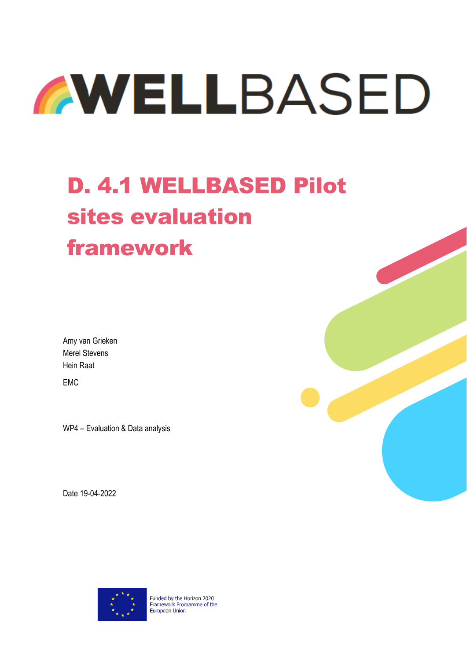

# D. 4.1 WELLBASED Pilot sites evaluation framework

Amy van Grieken Merel Stevens Hein Raat

EMC

WP4 – Evaluation & Data analysis

Date 19-04-2022



Funded by the Horizon 2020 Framework Programme of the European Union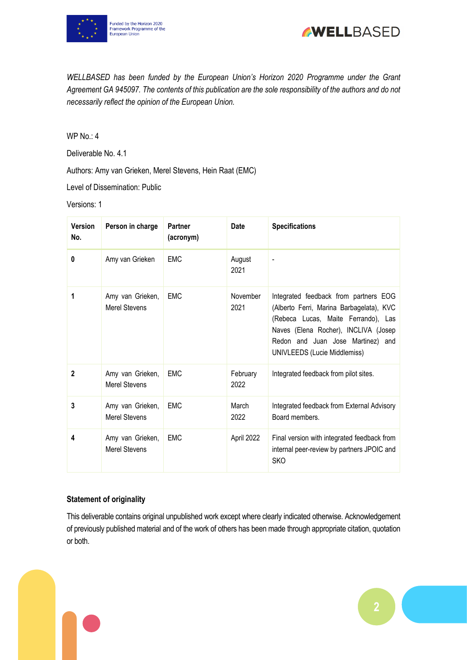



*WELLBASED has been funded by the European Union's Horizon 2020 Programme under the Grant Agreement GA 945097. The contents of this publication are the sole responsibility of the authors and do not necessarily reflect the opinion of the European Union.*

WP No.: 4

Deliverable No. 4.1

Authors: Amy van Grieken, Merel Stevens, Hein Raat (EMC)

Level of Dissemination: Public

Versions: 1

| <b>Version</b><br>No. | Person in charge                         | <b>Partner</b><br>(acronym) | <b>Date</b>      | <b>Specifications</b>                                                                                                                                                                                                                 |
|-----------------------|------------------------------------------|-----------------------------|------------------|---------------------------------------------------------------------------------------------------------------------------------------------------------------------------------------------------------------------------------------|
| 0                     | Amy van Grieken                          | <b>EMC</b>                  | August<br>2021   |                                                                                                                                                                                                                                       |
| 1                     | Amy van Grieken,<br><b>Merel Stevens</b> | <b>EMC</b>                  | November<br>2021 | Integrated feedback from partners EOG<br>(Alberto Ferri, Marina Barbagelata), KVC<br>(Rebeca Lucas, Maite Ferrando), Las<br>Naves (Elena Rocher), INCLIVA (Josep<br>Redon and Juan Jose Martinez) and<br>UNIVLEEDS (Lucie Middlemiss) |
| $\mathbf{2}$          | Amy van Grieken,<br><b>Merel Stevens</b> | <b>EMC</b>                  | February<br>2022 | Integrated feedback from pilot sites.                                                                                                                                                                                                 |
| 3                     | Amy van Grieken,<br><b>Merel Stevens</b> | <b>EMC</b>                  | March<br>2022    | Integrated feedback from External Advisory<br>Board members.                                                                                                                                                                          |
| 4                     | Amy van Grieken,<br><b>Merel Stevens</b> | <b>EMC</b>                  | April 2022       | Final version with integrated feedback from<br>internal peer-review by partners JPOIC and<br><b>SKO</b>                                                                                                                               |

#### **Statement of originality**

This deliverable contains original unpublished work except where clearly indicated otherwise. Acknowledgement of previously published material and of the work of others has been made through appropriate citation, quotation or both.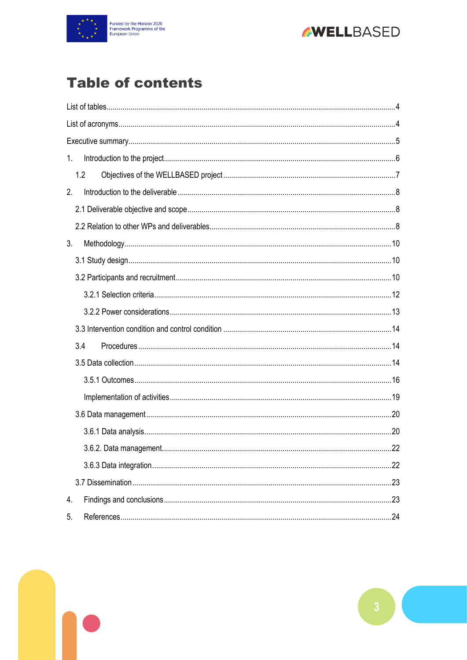



# **Table of contents**

| 1. |     |  |
|----|-----|--|
|    | 1.2 |  |
| 2. |     |  |
|    |     |  |
|    |     |  |
| 3. |     |  |
|    |     |  |
|    |     |  |
|    |     |  |
|    |     |  |
|    |     |  |
|    | 3.4 |  |
|    |     |  |
|    |     |  |
|    |     |  |
|    |     |  |
|    |     |  |
|    |     |  |
|    |     |  |
|    |     |  |
| 4. |     |  |
| 5. |     |  |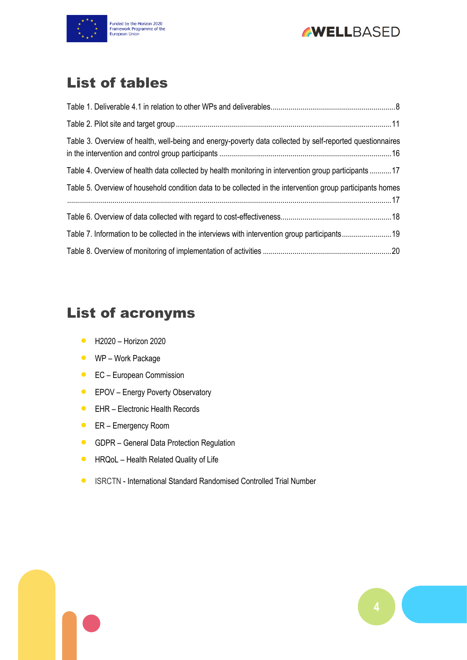



# <span id="page-3-0"></span>List of tables

| Table 3. Overview of health, well-being and energy-poverty data collected by self-reported questionnaires  |  |
|------------------------------------------------------------------------------------------------------------|--|
| Table 4. Overview of health data collected by health monitoring in intervention group participants 17      |  |
| Table 5. Overview of household condition data to be collected in the intervention group participants homes |  |
|                                                                                                            |  |
| Table 7. Information to be collected in the interviews with intervention group participants19              |  |
|                                                                                                            |  |

# <span id="page-3-1"></span>List of acronyms

- H2020 Horizon 2020
- WP Work Package
- EC European Commission
- **•** EPOV Energy Poverty Observatory
- EHR Electronic Health Records
- ER Emergency Room
- **GDPR** General Data Protection Regulation
- **HRQoL Health Related Quality of Life**
- ISRCTN International Standard Randomised Controlled Trial Number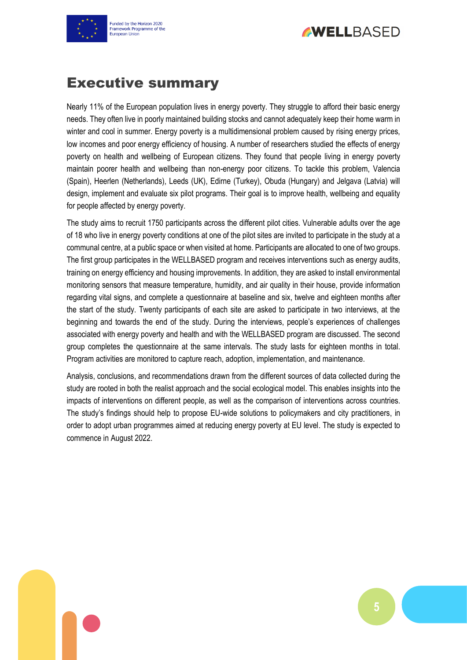

**AWELLBASED** 

# <span id="page-4-0"></span>Executive summary

Nearly 11% of the European population lives in energy poverty. They struggle to afford their basic energy needs. They often live in poorly maintained building stocks and cannot adequately keep their home warm in winter and cool in summer. Energy poverty is a multidimensional problem caused by rising energy prices, low incomes and poor energy efficiency of housing. A number of researchers studied the effects of energy poverty on health and wellbeing of European citizens. They found that people living in energy poverty maintain poorer health and wellbeing than non-energy poor citizens. To tackle this problem, Valencia (Spain), Heerlen (Netherlands), Leeds (UK), Edirne (Turkey), Obuda (Hungary) and Jelgava (Latvia) will design, implement and evaluate six pilot programs. Their goal is to improve health, wellbeing and equality for people affected by energy poverty.

The study aims to recruit 1750 participants across the different pilot cities. Vulnerable adults over the age of 18 who live in energy poverty conditions at one of the pilot sites are invited to participate in the study at a communal centre, at a public space or when visited at home. Participants are allocated to one of two groups. The first group participates in the WELLBASED program and receives interventions such as energy audits, training on energy efficiency and housing improvements. In addition, they are asked to install environmental monitoring sensors that measure temperature, humidity, and air quality in their house, provide information regarding vital signs, and complete a questionnaire at baseline and six, twelve and eighteen months after the start of the study. Twenty participants of each site are asked to participate in two interviews, at the beginning and towards the end of the study. During the interviews, people's experiences of challenges associated with energy poverty and health and with the WELLBASED program are discussed. The second group completes the questionnaire at the same intervals. The study lasts for eighteen months in total. Program activities are monitored to capture reach, adoption, implementation, and maintenance.

Analysis, conclusions, and recommendations drawn from the different sources of data collected during the study are rooted in both the realist approach and the social ecological model. This enables insights into the impacts of interventions on different people, as well as the comparison of interventions across countries. The study's findings should help to propose EU-wide solutions to policymakers and city practitioners, in order to adopt urban programmes aimed at reducing energy poverty at EU level. The study is expected to commence in August 2022.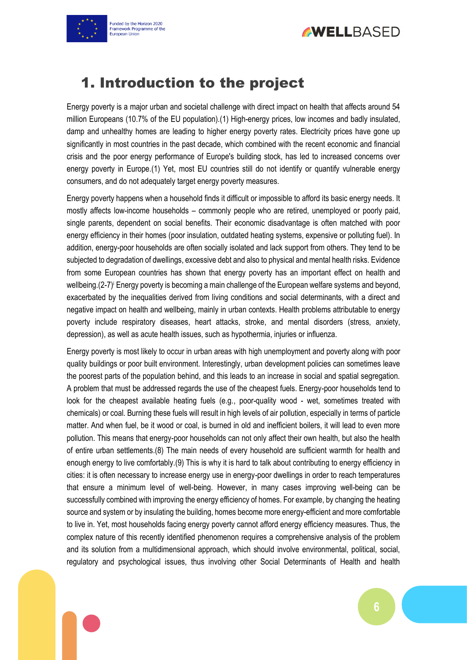



# <span id="page-5-0"></span>1. Introduction to the project

Energy poverty is a major urban and societal challenge with direct impact on health that affects around 54 million Europeans (10.7% of the EU population).(1) High-energy prices, low incomes and badly insulated, damp and unhealthy homes are leading to higher energy poverty rates. Electricity prices have gone up significantly in most countries in the past decade, which combined with the recent economic and financial crisis and the poor energy performance of Europe's building stock, has led to increased concerns over energy poverty in Europe.(1) Yet, most EU countries still do not identify or quantify vulnerable energy consumers, and do not adequately target energy poverty measures.

Energy poverty happens when a household finds it difficult or impossible to afford its basic energy needs. It mostly affects low-income households – commonly people who are retired, unemployed or poorly paid, single parents, dependent on social benefits. Their economic disadvantage is often matched with poor energy efficiency in their homes (poor insulation, outdated heating systems, expensive or polluting fuel). In addition, energy-poor households are often socially isolated and lack support from others. They tend to be subjected to degradation of dwellings, excessive debt and also to physical and mental health risks. Evidence from some European countries has shown that energy poverty has an important effect on health and wellbeing. (2-7) Energy poverty is becoming a main challenge of the European welfare systems and beyond, exacerbated by the inequalities derived from living conditions and social determinants, with a direct and negative impact on health and wellbeing, mainly in urban contexts. Health problems attributable to energy poverty include respiratory diseases, heart attacks, stroke, and mental disorders (stress, anxiety, depression), as well as acute health issues, such as hypothermia, injuries or influenza.

Energy poverty is most likely to occur in urban areas with high unemployment and poverty along with poor quality buildings or poor built environment. Interestingly, urban development policies can sometimes leave the poorest parts of the population behind, and this leads to an increase in social and spatial segregation. A problem that must be addressed regards the use of the cheapest fuels. Energy-poor households tend to look for the cheapest available heating fuels (e.g., poor-quality wood - wet, sometimes treated with chemicals) or coal. Burning these fuels will result in high levels of air pollution, especially in terms of particle matter. And when fuel, be it wood or coal, is burned in old and inefficient boilers, it will lead to even more pollution. This means that energy-poor households can not only affect their own health, but also the health of entire urban settlements.(8) The main needs of every household are sufficient warmth for health and enough energy to live comfortably.(9) This is why it is hard to talk about contributing to energy efficiency in cities: it is often necessary to increase energy use in energy-poor dwellings in order to reach temperatures that ensure a minimum level of well-being. However, in many cases improving well-being can be successfully combined with improving the energy efficiency of homes. For example, by changing the heating source and system or by insulating the building, homes become more energy-efficient and more comfortable to live in. Yet, most households facing energy poverty cannot afford energy efficiency measures. Thus, the complex nature of this recently identified phenomenon requires a comprehensive analysis of the problem and its solution from a multidimensional approach, which should involve environmental, political, social, regulatory and psychological issues, thus involving other Social Determinants of Health and health

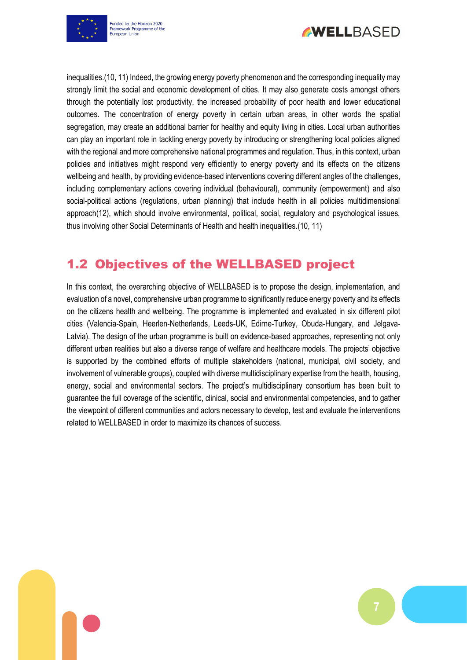



inequalities.(10, 11) Indeed, the growing energy poverty phenomenon and the corresponding inequality may strongly limit the social and economic development of cities. It may also generate costs amongst others through the potentially lost productivity, the increased probability of poor health and lower educational outcomes. The concentration of energy poverty in certain urban areas, in other words the spatial segregation, may create an additional barrier for healthy and equity living in cities. Local urban authorities can play an important role in tackling energy poverty by introducing or strengthening local policies aligned with the regional and more comprehensive national programmes and regulation. Thus, in this context, urban policies and initiatives might respond very efficiently to energy poverty and its effects on the citizens wellbeing and health, by providing evidence-based interventions covering different angles of the challenges, including complementary actions covering individual (behavioural), community (empowerment) and also social-political actions (regulations, urban planning) that include health in all policies multidimensional approach(12), which should involve environmental, political, social, regulatory and psychological issues, thus involving other Social Determinants of Health and health inequalities.(10, 11)

# <span id="page-6-0"></span>1.2 Objectives of the WELLBASED project

In this context, the overarching objective of WELLBASED is to propose the design, implementation, and evaluation of a novel, comprehensive urban programme to significantly reduce energy poverty and its effects on the citizens health and wellbeing. The programme is implemented and evaluated in six different pilot cities (Valencia-Spain, Heerlen-Netherlands, Leeds-UK, Edirne-Turkey, Obuda-Hungary, and Jelgava-Latvia). The design of the urban programme is built on evidence-based approaches, representing not only different urban realities but also a diverse range of welfare and healthcare models. The projects' objective is supported by the combined efforts of multiple stakeholders (national, municipal, civil society, and involvement of vulnerable groups), coupled with diverse multidisciplinary expertise from the health, housing, energy, social and environmental sectors. The project's multidisciplinary consortium has been built to guarantee the full coverage of the scientific, clinical, social and environmental competencies, and to gather the viewpoint of different communities and actors necessary to develop, test and evaluate the interventions related to WELLBASED in order to maximize its chances of success.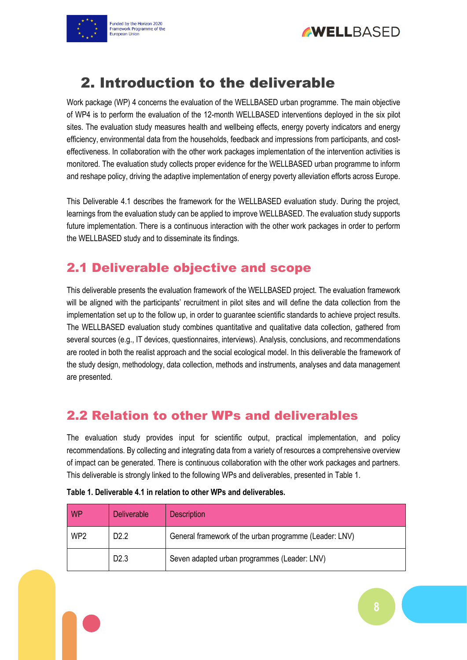



<span id="page-7-0"></span>

Work package (WP) 4 concerns the evaluation of the WELLBASED urban programme. The main objective of WP4 is to perform the evaluation of the 12-month WELLBASED interventions deployed in the six pilot sites. The evaluation study measures health and wellbeing effects, energy poverty indicators and energy efficiency, environmental data from the households, feedback and impressions from participants, and costeffectiveness. In collaboration with the other work packages implementation of the intervention activities is monitored. The evaluation study collects proper evidence for the WELLBASED urban programme to inform and reshape policy, driving the adaptive implementation of energy poverty alleviation efforts across Europe.

This Deliverable 4.1 describes the framework for the WELLBASED evaluation study. During the project, learnings from the evaluation study can be applied to improve WELLBASED. The evaluation study supports future implementation. There is a continuous interaction with the other work packages in order to perform the WELLBASED study and to disseminate its findings.

## <span id="page-7-1"></span>2.1 Deliverable objective and scope

This deliverable presents the evaluation framework of the WELLBASED project. The evaluation framework will be aligned with the participants' recruitment in pilot sites and will define the data collection from the implementation set up to the follow up, in order to guarantee scientific standards to achieve project results. The WELLBASED evaluation study combines quantitative and qualitative data collection, gathered from several sources (e.g., IT devices, questionnaires, interviews). Analysis, conclusions, and recommendations are rooted in both the realist approach and the social ecological model. In this deliverable the framework of the study design, methodology, data collection, methods and instruments, analyses and data management are presented.

### <span id="page-7-2"></span>2.2 Relation to other WPs and deliverables

The evaluation study provides input for scientific output, practical implementation, and policy recommendations. By collecting and integrating data from a variety of resources a comprehensive overview of impact can be generated. There is continuous collaboration with the other work packages and partners. This deliverable is strongly linked to the following WPs and deliverables, presented in Table 1.

| <b>WP</b>       | <b>Deliverable</b> | <b>Description</b>                                     |
|-----------------|--------------------|--------------------------------------------------------|
| WP <sub>2</sub> | D <sub>2.2</sub>   | General framework of the urban programme (Leader: LNV) |
|                 | D <sub>2.3</sub>   | Seven adapted urban programmes (Leader: LNV)           |

<span id="page-7-3"></span>

| Table 1. Deliverable 4.1 in relation to other WPs and deliverables. |  |
|---------------------------------------------------------------------|--|
|---------------------------------------------------------------------|--|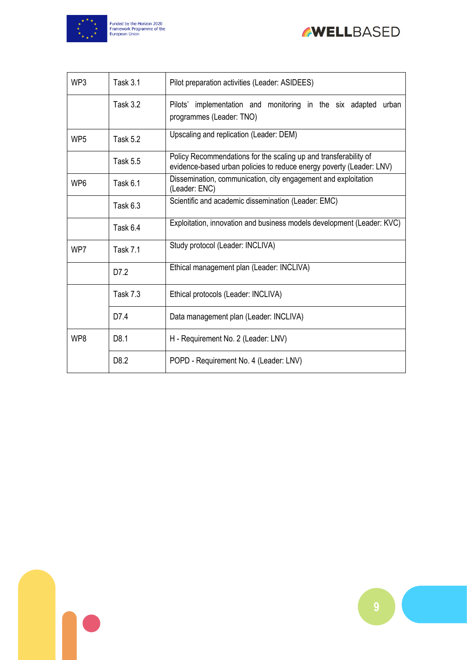



| WP3             | <b>Task 3.1</b>  | Pilot preparation activities (Leader: ASIDEES)                                                                                           |  |
|-----------------|------------------|------------------------------------------------------------------------------------------------------------------------------------------|--|
|                 | <b>Task 3.2</b>  | Pilots' implementation and monitoring in the six adapted<br>urban<br>programmes (Leader: TNO)                                            |  |
| WP <sub>5</sub> | <b>Task 5.2</b>  | Upscaling and replication (Leader: DEM)                                                                                                  |  |
|                 | <b>Task 5.5</b>  | Policy Recommendations for the scaling up and transferability of<br>evidence-based urban policies to reduce energy poverty (Leader: LNV) |  |
| WP <sub>6</sub> | Task 6.1         | Dissemination, communication, city engagement and exploitation<br>(Leader: ENC)                                                          |  |
|                 | Task 6.3         | Scientific and academic dissemination (Leader: EMC)                                                                                      |  |
|                 | <b>Task 6.4</b>  | Exploitation, innovation and business models development (Leader: KVC)                                                                   |  |
| WP7             | <b>Task 7.1</b>  | Study protocol (Leader: INCLIVA)                                                                                                         |  |
|                 | D7.2             | Ethical management plan (Leader: INCLIVA)                                                                                                |  |
|                 | <b>Task 7.3</b>  | Ethical protocols (Leader: INCLIVA)                                                                                                      |  |
|                 | D7.4             | Data management plan (Leader: INCLIVA)                                                                                                   |  |
| WP8             | D8.1             | H - Requirement No. 2 (Leader: LNV)                                                                                                      |  |
|                 | D <sub>8.2</sub> | POPD - Requirement No. 4 (Leader: LNV)                                                                                                   |  |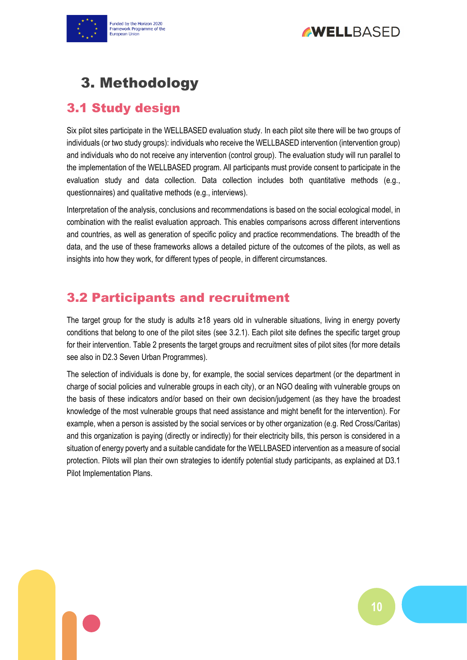



# <span id="page-9-0"></span>3. Methodology

# <span id="page-9-1"></span>3.1 Study design

Six pilot sites participate in the WELLBASED evaluation study. In each pilot site there will be two groups of individuals (or two study groups): individuals who receive the WELLBASED intervention (intervention group) and individuals who do not receive any intervention (control group). The evaluation study will run parallel to the implementation of the WELLBASED program. All participants must provide consent to participate in the evaluation study and data collection. Data collection includes both quantitative methods (e.g., questionnaires) and qualitative methods (e.g., interviews).

Interpretation of the analysis, conclusions and recommendations is based on the social ecological model, in combination with the realist evaluation approach. This enables comparisons across different interventions and countries, as well as generation of specific policy and practice recommendations. The breadth of the data, and the use of these frameworks allows a detailed picture of the outcomes of the pilots, as well as insights into how they work, for different types of people, in different circumstances.

# <span id="page-9-2"></span>3.2 Participants and recruitment

The target group for the study is adults ≥18 years old in vulnerable situations, living in energy poverty conditions that belong to one of the pilot sites (see 3.2.1). Each pilot site defines the specific target group for their intervention. Table 2 presents the target groups and recruitment sites of pilot sites (for more details see also in D2.3 Seven Urban Programmes).

The selection of individuals is done by, for example, the social services department (or the department in charge of social policies and vulnerable groups in each city), or an NGO dealing with vulnerable groups on the basis of these indicators and/or based on their own decision/judgement (as they have the broadest knowledge of the most vulnerable groups that need assistance and might benefit for the intervention). For example, when a person is assisted by the social services or by other organization (e.g. Red Cross/Caritas) and this organization is paying (directly or indirectly) for their electricity bills, this person is considered in a situation of energy poverty and a suitable candidate for the WELLBASED intervention as a measure of social protection. Pilots will plan their own strategies to identify potential study participants, as explained at D3.1 Pilot Implementation Plans.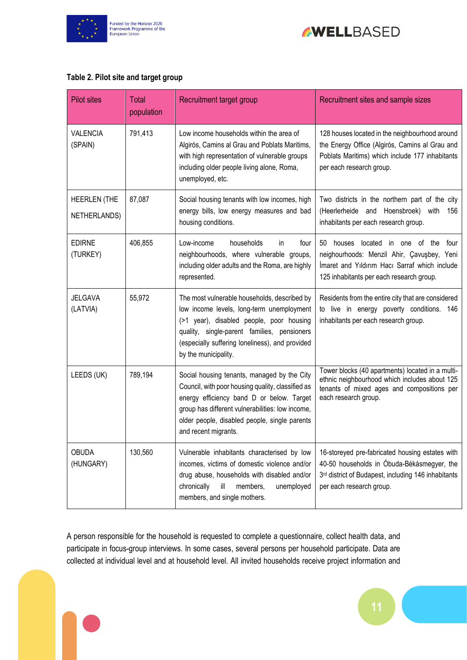



#### <span id="page-10-0"></span>**Table 2. Pilot site and target group**

| <b>Pilot sites</b>                  | Total<br>population | Recruitment target group                                                                                                                                                                                                                                                   | Recruitment sites and sample sizes                                                                                                                                                 |
|-------------------------------------|---------------------|----------------------------------------------------------------------------------------------------------------------------------------------------------------------------------------------------------------------------------------------------------------------------|------------------------------------------------------------------------------------------------------------------------------------------------------------------------------------|
| <b>VALENCIA</b><br>(SPAIN)          | 791,413             | Low income households within the area of<br>Algirós, Camins al Grau and Poblats Maritims,<br>with high representation of vulnerable groups<br>including older people living alone, Roma,<br>unemployed, etc.                                                               | 128 houses located in the neighbourhood around<br>the Energy Office (Algirós, Camins al Grau and<br>Poblats Maritims) which include 177 inhabitants<br>per each research group.    |
| <b>HEERLEN (THE</b><br>NETHERLANDS) | 87,087              | Social housing tenants with low incomes, high<br>energy bills, low energy measures and bad<br>housing conditions.                                                                                                                                                          | Two districts in the northern part of the city<br>(Heerlerheide and Hoensbroek) with<br>156<br>inhabitants per each research group.                                                |
| <b>EDIRNE</b><br>(TURKEY)           | 406,855             | Low-income<br>households<br>in.<br>four<br>neighbourhoods, where vulnerable groups,<br>including older adults and the Roma, are highly<br>represented.                                                                                                                     | 50 houses located in one of the<br>four<br>neighourhoods: Menzil Ahir, Çavuşbey, Yeni<br>Imaret and Yıldırım Hacı Sarraf which include<br>125 inhabitants per each research group. |
| <b>JELGAVA</b><br>(LATVIA)          | 55,972              | The most vulnerable households, described by<br>low income levels, long-term unemployment<br>(>1 year), disabled people, poor housing<br>quality, single-parent families, pensioners<br>(especially suffering loneliness), and provided<br>by the municipality.            | Residents from the entire city that are considered<br>to live in energy poverty conditions. 146<br>inhabitants per each research group.                                            |
| LEEDS (UK)                          | 789,194             | Social housing tenants, managed by the City<br>Council, with poor housing quality, classified as<br>energy efficiency band D or below. Target<br>group has different vulnerabilities: low income,<br>older people, disabled people, single parents<br>and recent migrants. | Tower blocks (40 apartments) located in a multi-<br>ethnic neighbourhood which includes about 125<br>tenants of mixed ages and compositions per<br>each research group.            |
| OBUDA<br>(HUNGARY)                  | 130,560             | Vulnerable inhabitants characterised by low<br>incomes, victims of domestic violence and/or<br>drug abuse, households with disabled and/or<br>chronically<br>ill<br>members,<br>unemployed<br>members, and single mothers.                                                 | 16-storeyed pre-fabricated housing estates with<br>40-50 households in Óbuda-Békásmegyer, the<br>3rd district of Budapest, including 146 inhabitants<br>per each research group.   |

A person responsible for the household is requested to complete a questionnaire, collect health data, and participate in focus-group interviews. In some cases, several persons per household participate. Data are collected at individual level and at household level. All invited households receive project information and

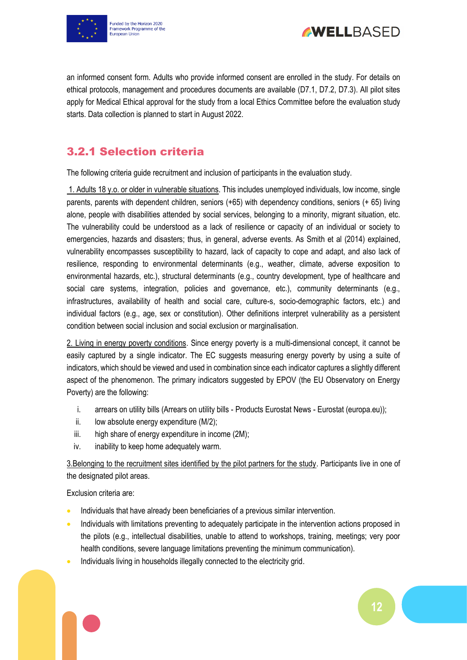



an informed consent form. Adults who provide informed consent are enrolled in the study. For details on ethical protocols, management and procedures documents are available (D7.1, D7.2, D7.3). All pilot sites apply for Medical Ethical approval for the study from a local Ethics Committee before the evaluation study starts. Data collection is planned to start in August 2022.

### <span id="page-11-0"></span>3.2.1 Selection criteria

The following criteria guide recruitment and inclusion of participants in the evaluation study.

1. Adults 18 y.o. or older in vulnerable situations. This includes unemployed individuals, low income, single parents, parents with dependent children, seniors (+65) with dependency conditions, seniors (+ 65) living alone, people with disabilities attended by social services, belonging to a minority, migrant situation, etc. The vulnerability could be understood as a lack of resilience or capacity of an individual or society to emergencies, hazards and disasters; thus, in general, adverse events. As Smith et al (2014) explained, vulnerability encompasses susceptibility to hazard, lack of capacity to cope and adapt, and also lack of resilience, responding to environmental determinants (e.g., weather, climate, adverse exposition to environmental hazards, etc.), structural determinants (e.g., country development, type of healthcare and social care systems, integration, policies and governance, etc.), community determinants (e.g., infrastructures, availability of health and social care, culture-s, socio-demographic factors, etc.) and individual factors (e.g., age, sex or constitution). Other definitions interpret vulnerability as a persistent condition between social inclusion and social exclusion or marginalisation.

2. Living in energy poverty conditions. Since energy poverty is a multi-dimensional concept, it cannot be easily captured by a single indicator. The EC suggests measuring energy poverty by using a suite of indicators, which should be viewed and used in combination since each indicator captures a slightly different aspect of the phenomenon. The primary indicators suggested by EPOV (the EU Observatory on Energy Poverty) are the following:

- i. arrears on utility bills (Arrears on utility bills Products Eurostat News Eurostat (europa.eu));
- ii. low absolute energy expenditure (M/2);
- iii. high share of energy expenditure in income (2M);
- iv. inability to keep home adequately warm.

3.Belonging to the recruitment sites identified by the pilot partners for the study. Participants live in one of the designated pilot areas.

Exclusion criteria are:

- Individuals that have already been beneficiaries of a previous similar intervention.
- Individuals with limitations preventing to adequately participate in the intervention actions proposed in the pilots (e.g., intellectual disabilities, unable to attend to workshops, training, meetings; very poor health conditions, severe language limitations preventing the minimum communication).
- Individuals living in households illegally connected to the electricity grid.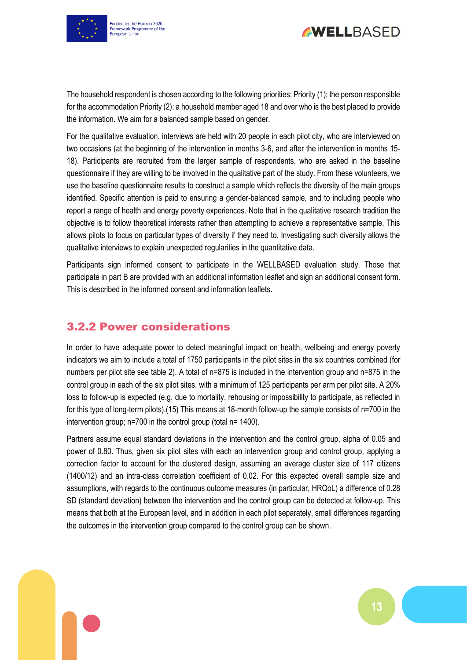



The household respondent is chosen according to the following priorities: Priority (1): the person responsible for the accommodation Priority (2): a household member aged 18 and over who is the best placed to provide the information. We aim for a balanced sample based on gender.

For the qualitative evaluation, interviews are held with 20 people in each pilot city, who are interviewed on two occasions (at the beginning of the intervention in months 3-6, and after the intervention in months 15- 18). Participants are recruited from the larger sample of respondents, who are asked in the baseline questionnaire if they are willing to be involved in the qualitative part of the study. From these volunteers, we use the baseline questionnaire results to construct a sample which reflects the diversity of the main groups identified. Specific attention is paid to ensuring a gender-balanced sample, and to including people who report a range of health and energy poverty experiences. Note that in the qualitative research tradition the objective is to follow theoretical interests rather than attempting to achieve a representative sample. This allows pilots to focus on particular types of diversity if they need to. Investigating such diversity allows the qualitative interviews to explain unexpected regularities in the quantitative data.

Participants sign informed consent to participate in the WELLBASED evaluation study. Those that participate in part B are provided with an additional information leaflet and sign an additional consent form. This is described in the informed consent and information leaflets.

### <span id="page-12-0"></span>3.2.2 Power considerations

In order to have adequate power to detect meaningful impact on health, wellbeing and energy poverty indicators we aim to include a total of 1750 participants in the pilot sites in the six countries combined (for numbers per pilot site see table 2). A total of n=875 is included in the intervention group and n=875 in the control group in each of the six pilot sites, with a minimum of 125 participants per arm per pilot site. A 20% loss to follow-up is expected (e.g. due to mortality, rehousing or impossibility to participate, as reflected in for this type of long-term pilots).(15) This means at 18-month follow-up the sample consists of n=700 in the intervention group; n=700 in the control group (total n= 1400).

Partners assume equal standard deviations in the intervention and the control group, alpha of 0.05 and power of 0.80. Thus, given six pilot sites with each an intervention group and control group, applying a correction factor to account for the clustered design, assuming an average cluster size of 117 citizens (1400/12) and an intra-class correlation coefficient of 0.02. For this expected overall sample size and assumptions, with regards to the continuous outcome measures (in particular, HRQoL) a difference of 0.28 SD (standard deviation) between the intervention and the control group can be detected at follow-up. This means that both at the European level, and in addition in each pilot separately, small differences regarding the outcomes in the intervention group compared to the control group can be shown.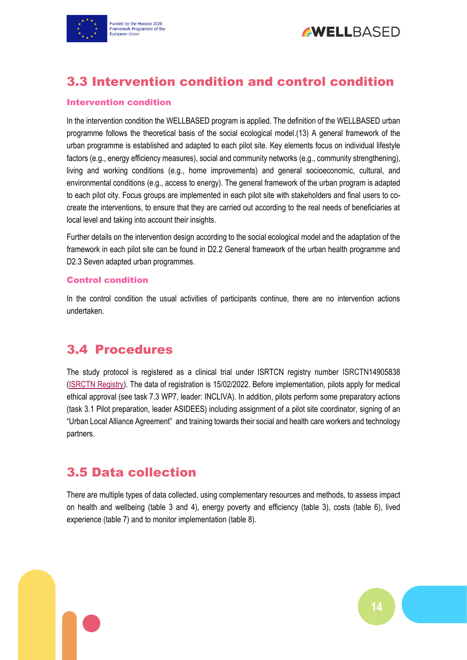



# <span id="page-13-0"></span>3.3 Intervention condition and control condition

#### Intervention condition

In the intervention condition the WELLBASED program is applied. The definition of the WELLBASED urban programme follows the theoretical basis of the social ecological model.(13) A general framework of the urban programme is established and adapted to each pilot site. Key elements focus on individual lifestyle factors (e.g., energy efficiency measures), social and community networks (e.g., community strengthening), living and working conditions (e.g., home improvements) and general socioeconomic, cultural, and environmental conditions (e.g., access to energy). The general framework of the urban program is adapted to each pilot city. Focus groups are implemented in each pilot site with stakeholders and final users to cocreate the interventions, to ensure that they are carried out according to the real needs of beneficiaries at local level and taking into account their insights.

Further details on the intervention design according to the social ecological model and the adaptation of the framework in each pilot site can be found in D2.2 General framework of the urban health programme and D2.3 Seven adapted urban programmes.

#### Control condition

In the control condition the usual activities of participants continue, there are no intervention actions undertaken.

### <span id="page-13-1"></span>3.4 Procedures

The study protocol is registered as a clinical trial under ISRTCN registry number ISRCTN14905838 [\(ISRCTN Registry\)](https://www.isrctn.com/). The data of registration is 15/02/2022. Before implementation, pilots apply for medical ethical approval (see task 7.3 WP7, leader: INCLIVA). In addition, pilots perform some preparatory actions (task 3.1 Pilot preparation, leader ASIDEES) including assignment of a pilot site coordinator, signing of an "Urban Local Alliance Agreement" and training towards their social and health care workers and technology partners.

### <span id="page-13-2"></span>3.5 Data collection

There are multiple types of data collected, using complementary resources and methods, to assess impact on health and wellbeing (table 3 and 4), energy poverty and efficiency (table 3), costs (table 6), lived experience (table 7) and to monitor implementation (table 8).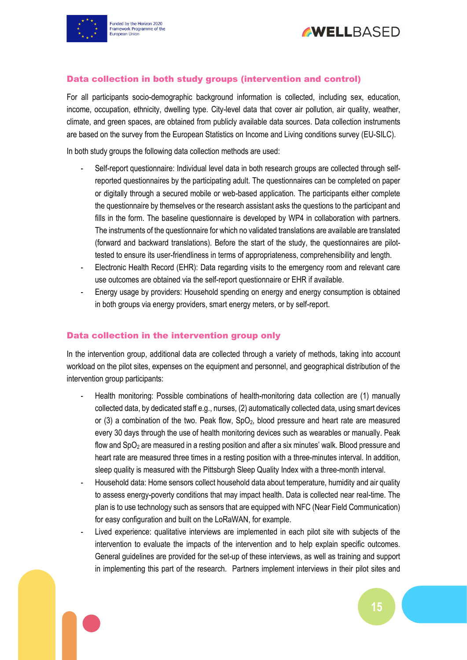



#### Data collection in both study groups (intervention and control)

For all participants socio-demographic background information is collected, including sex, education, income, occupation, ethnicity, dwelling type. City-level data that cover air pollution, air quality, weather, climate, and green spaces, are obtained from publicly available data sources. Data collection instruments are based on the survey from the European Statistics on Income and Living conditions survey (EU-SILC).

In both study groups the following data collection methods are used:

- Self-report questionnaire: Individual level data in both research groups are collected through selfreported questionnaires by the participating adult. The questionnaires can be completed on paper or digitally through a secured mobile or web-based application. The participants either complete the questionnaire by themselves or the research assistant asks the questions to the participant and fills in the form. The baseline questionnaire is developed by WP4 in collaboration with partners. The instruments of the questionnaire for which no validated translations are available are translated (forward and backward translations). Before the start of the study, the questionnaires are pilottested to ensure its user-friendliness in terms of appropriateness, comprehensibility and length.
- Electronic Health Record (EHR): Data regarding visits to the emergency room and relevant care use outcomes are obtained via the self-report questionnaire or EHR if available.
- Energy usage by providers: Household spending on energy and energy consumption is obtained in both groups via energy providers, smart energy meters, or by self-report.

#### Data collection in the intervention group only

In the intervention group, additional data are collected through a variety of methods, taking into account workload on the pilot sites, expenses on the equipment and personnel, and geographical distribution of the intervention group participants:

- Health monitoring: Possible combinations of health-monitoring data collection are (1) manually collected data, by dedicated staff e.g., nurses, (2) automatically collected data, using smart devices or (3) a combination of the two. Peak flow,  $SpO<sub>2</sub>$ , blood pressure and heart rate are measured every 30 days through the use of health monitoring devices such as wearables or manually. Peak flow and  $SpO<sub>2</sub>$  are measured in a resting position and after a six minutes' walk. Blood pressure and heart rate are measured three times in a resting position with a three-minutes interval. In addition, sleep quality is measured with the Pittsburgh Sleep Quality Index with a three-month interval.
- Household data: Home sensors collect household data about temperature, humidity and air quality to assess energy-poverty conditions that may impact health. Data is collected near real-time. The plan is to use technology such as sensors that are equipped with NFC (Near Field Communication) for easy configuration and built on the LoRaWAN, for example.
- Lived experience: qualitative interviews are implemented in each pilot site with subjects of the intervention to evaluate the impacts of the intervention and to help explain specific outcomes. General guidelines are provided for the set-up of these interviews, as well as training and support in implementing this part of the research. Partners implement interviews in their pilot sites and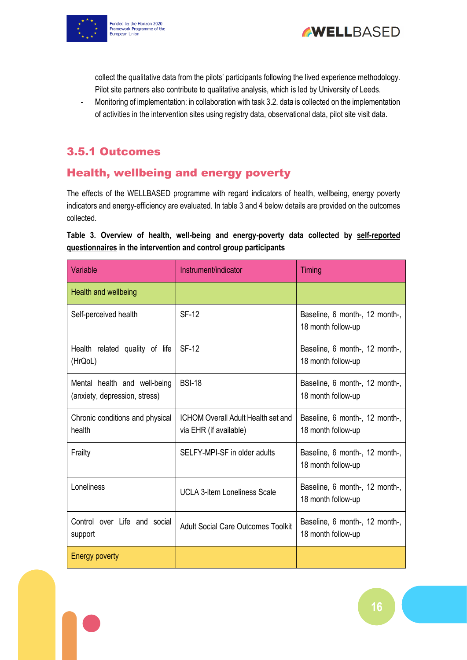



collect the qualitative data from the pilots' participants following the lived experience methodology. Pilot site partners also contribute to qualitative analysis, which is led by University of Leeds.

- Monitoring of implementation: in collaboration with task 3.2. data is collected on the implementation of activities in the intervention sites using registry data, observational data, pilot site visit data.

### <span id="page-15-0"></span>3.5.1 Outcomes

### Health, wellbeing and energy poverty

The effects of the WELLBASED programme with regard indicators of health, wellbeing, energy poverty indicators and energy-efficiency are evaluated. In table 3 and 4 below details are provided on the outcomes collected.

#### <span id="page-15-1"></span>**Table 3. Overview of health, well-being and energy-poverty data collected by self-reported questionnaires in the intervention and control group participants**

| Variable                                                      | Instrument/indicator                                                | Timing                                               |
|---------------------------------------------------------------|---------------------------------------------------------------------|------------------------------------------------------|
| Health and wellbeing                                          |                                                                     |                                                      |
| Self-perceived health                                         | <b>SF-12</b>                                                        | Baseline, 6 month-, 12 month-,<br>18 month follow-up |
| Health related quality of life<br>(HrQoL)                     | <b>SF-12</b>                                                        | Baseline, 6 month-, 12 month-,<br>18 month follow-up |
| Mental health and well-being<br>(anxiety, depression, stress) | <b>BSI-18</b>                                                       | Baseline, 6 month-, 12 month-,<br>18 month follow-up |
| Chronic conditions and physical<br>health                     | <b>ICHOM Overall Adult Health set and</b><br>via EHR (if available) | Baseline, 6 month-, 12 month-,<br>18 month follow-up |
| Frailty                                                       | SELFY-MPI-SF in older adults                                        | Baseline, 6 month-, 12 month-,<br>18 month follow-up |
| Loneliness                                                    | <b>UCLA 3-item Loneliness Scale</b>                                 | Baseline, 6 month-, 12 month-,<br>18 month follow-up |
| Control over Life and social<br>support                       | <b>Adult Social Care Outcomes Toolkit</b>                           | Baseline, 6 month-, 12 month-,<br>18 month follow-up |
| <b>Energy poverty</b>                                         |                                                                     |                                                      |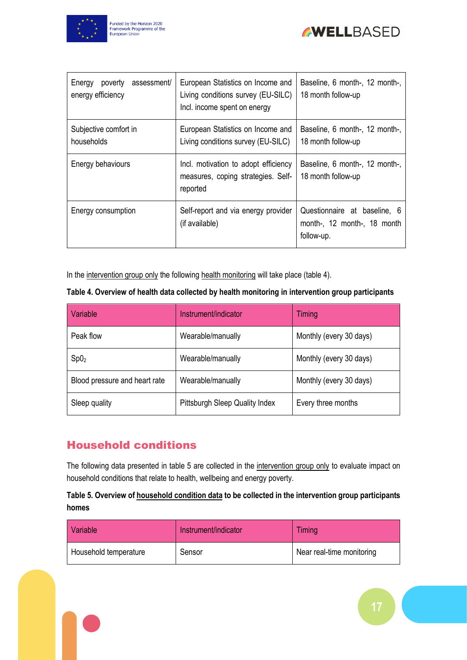



| poverty<br>assessment/<br>Energy<br>energy efficiency | European Statistics on Income and<br>Living conditions survey (EU-SILC)<br>Incl. income spent on energy | Baseline, 6 month-, 12 month-,<br>18 month follow-up                      |
|-------------------------------------------------------|---------------------------------------------------------------------------------------------------------|---------------------------------------------------------------------------|
| Subjective comfort in<br>households                   | European Statistics on Income and<br>Living conditions survey (EU-SILC)                                 | Baseline, 6 month-, 12 month-,<br>18 month follow-up                      |
| Energy behaviours                                     | Incl. motivation to adopt efficiency<br>measures, coping strategies. Self-<br>reported                  | Baseline, 6 month-, 12 month-,<br>18 month follow-up                      |
| Energy consumption                                    | Self-report and via energy provider<br>(if available)                                                   | Questionnaire at baseline, 6<br>month-, 12 month-, 18 month<br>follow-up. |

In the intervention group only the following health monitoring will take place (table 4).

<span id="page-16-0"></span>

| Variable                      | Instrument/indicator           | <b>Timing</b>           |
|-------------------------------|--------------------------------|-------------------------|
| Peak flow                     | Wearable/manually              | Monthly (every 30 days) |
| Sp0 <sub>2</sub>              | Wearable/manually              | Monthly (every 30 days) |
| Blood pressure and heart rate | Wearable/manually              | Monthly (every 30 days) |
| Sleep quality                 | Pittsburgh Sleep Quality Index | Every three months      |

### Household conditions

The following data presented in table 5 are collected in the intervention group only to evaluate impact on household conditions that relate to health, wellbeing and energy poverty.

#### <span id="page-16-1"></span>**Table 5. Overview of household condition data to be collected in the intervention group participants homes**

| Variable              | Instrument/indicator | <b>Timing</b>             |
|-----------------------|----------------------|---------------------------|
| Household temperature | Sensor               | Near real-time monitoring |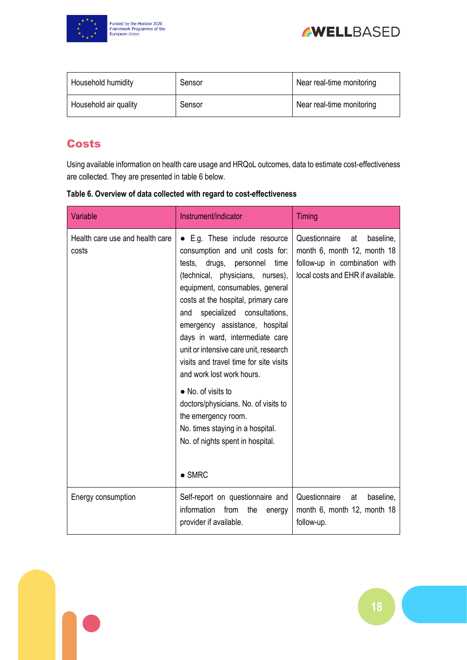



| Household humidity    | Sensor | Near real-time monitoring |  |  |  |
|-----------------------|--------|---------------------------|--|--|--|
| Household air quality | Sensor | Near real-time monitoring |  |  |  |

### **Costs**

Using available information on health care usage and HRQoL outcomes, data to estimate cost-effectiveness are collected. They are presented in table 6 below.

<span id="page-17-0"></span>

| Table 6. Overview of data collected with regard to cost-effectiveness |  |
|-----------------------------------------------------------------------|--|
|                                                                       |  |

| Variable                                 | Instrument/indicator                                                                                                                                                                                                                                                                                                                                                                                                                                                                                                                                                                                                          | Timing                                                                                                                                |
|------------------------------------------|-------------------------------------------------------------------------------------------------------------------------------------------------------------------------------------------------------------------------------------------------------------------------------------------------------------------------------------------------------------------------------------------------------------------------------------------------------------------------------------------------------------------------------------------------------------------------------------------------------------------------------|---------------------------------------------------------------------------------------------------------------------------------------|
| Health care use and health care<br>costs | • E.g. These include resource<br>consumption and unit costs for:<br>tests, drugs, personnel<br>time<br>(technical, physicians, nurses),<br>equipment, consumables, general<br>costs at the hospital, primary care<br>specialized<br>consultations,<br>and<br>emergency assistance, hospital<br>days in ward, intermediate care<br>unit or intensive care unit, research<br>visits and travel time for site visits<br>and work lost work hours.<br>• No. of visits to<br>doctors/physicians. No. of visits to<br>the emergency room.<br>No. times staying in a hospital.<br>No. of nights spent in hospital.<br>$\bullet$ SMRC | Questionnaire<br>baseline,<br>at<br>month 6, month 12, month 18<br>follow-up in combination with<br>local costs and EHR if available. |
| Energy consumption                       | Self-report on questionnaire and<br>information<br>from<br>the<br>energy<br>provider if available.                                                                                                                                                                                                                                                                                                                                                                                                                                                                                                                            | Questionnaire<br>baseline,<br>at<br>month 6, month 12, month 18<br>follow-up.                                                         |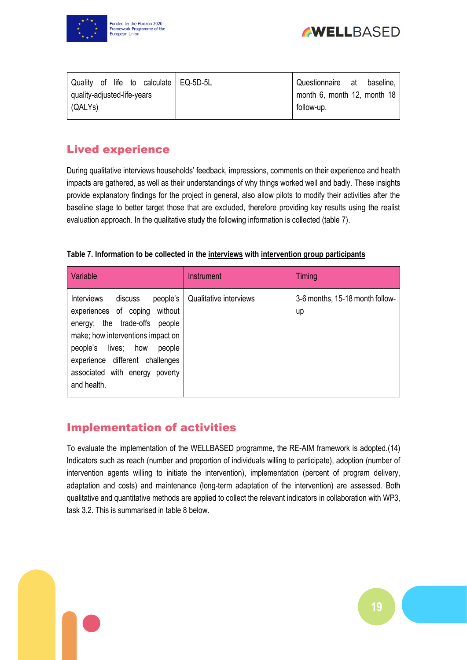



|                             |  |  | Quality of life to calculate   EQ-5D-5L | Questionnaire at            |  | baseline, |  |
|-----------------------------|--|--|-----------------------------------------|-----------------------------|--|-----------|--|
| quality-adjusted-life-years |  |  |                                         | month 6, month 12, month 18 |  |           |  |
| $\overline{QALYs}$          |  |  |                                         | follow-up.                  |  |           |  |
|                             |  |  |                                         |                             |  |           |  |

### Lived experience

During qualitative interviews households' feedback, impressions, comments on their experience and health impacts are gathered, as well as their understandings of why things worked well and badly. These insights provide explanatory findings for the project in general, also allow pilots to modify their activities after the baseline stage to better target those that are excluded, therefore providing key results using the realist evaluation approach. In the qualitative study the following information is collected (table 7).

<span id="page-18-1"></span>

| Table 7. Information to be collected in the interviews with intervention group participants |  |  |
|---------------------------------------------------------------------------------------------|--|--|
|---------------------------------------------------------------------------------------------|--|--|

| Variable                                                                                                                                                                                                                                                                      | <b>Instrument</b>      | Timing                                |
|-------------------------------------------------------------------------------------------------------------------------------------------------------------------------------------------------------------------------------------------------------------------------------|------------------------|---------------------------------------|
| <b>Interviews</b><br>people's<br>discuss<br>without<br>experiences of coping<br>the trade-offs<br>people<br>energy;<br>make; how interventions impact on<br>people's lives; how<br>people<br>experience different challenges<br>associated with energy poverty<br>and health. | Qualitative interviews | 3-6 months, 15-18 month follow-<br>up |

### <span id="page-18-0"></span>Implementation of activities

To evaluate the implementation of the WELLBASED programme, the RE-AIM framework is adopted.(14) Indicators such as reach (number and proportion of individuals willing to participate), adoption (number of intervention agents willing to initiate the intervention), implementation (percent of program delivery, adaptation and costs) and maintenance (long-term adaptation of the intervention) are assessed. Both qualitative and quantitative methods are applied to collect the relevant indicators in collaboration with WP3, task 3.2. This is summarised in table 8 below.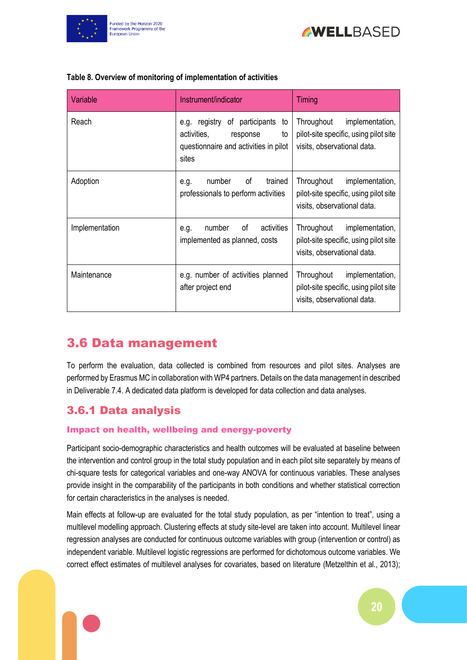



| Variable       | Instrument/indicator                                                                                                      | <b>Timing</b>                                                                                         |
|----------------|---------------------------------------------------------------------------------------------------------------------------|-------------------------------------------------------------------------------------------------------|
| Reach          | of participants<br>e.g. registry<br>to<br>activities,<br>response<br>to<br>questionnaire and activities in pilot<br>sites | Throughout<br>implementation,<br>pilot-site specific, using pilot site<br>visits, observational data. |
| Adoption       | of<br>trained<br>number<br>e.g.<br>professionals to perform activities                                                    | Throughout<br>implementation,<br>pilot-site specific, using pilot site<br>visits, observational data. |
| Implementation | of<br>activities<br>number<br>e.g.<br>implemented as planned, costs                                                       | Throughout<br>implementation,<br>pilot-site specific, using pilot site<br>visits, observational data. |
| Maintenance    | e.g. number of activities planned<br>after project end                                                                    | Throughout<br>implementation,<br>pilot-site specific, using pilot site<br>visits, observational data. |

#### <span id="page-19-2"></span>**Table 8. Overview of monitoring of implementation of activities**

### <span id="page-19-0"></span>3.6 Data management

To perform the evaluation, data collected is combined from resources and pilot sites. Analyses are performed by Erasmus MC in collaboration with WP4 partners. Details on the data management in described in Deliverable 7.4. A dedicated data platform is developed for data collection and data analyses.

### <span id="page-19-1"></span>3.6.1 Data analysis

#### Impact on health, wellbeing and energy-poverty

Participant socio-demographic characteristics and health outcomes will be evaluated at baseline between the intervention and control group in the total study population and in each pilot site separately by means of chi-square tests for categorical variables and one-way ANOVA for continuous variables. These analyses provide insight in the comparability of the participants in both conditions and whether statistical correction for certain characteristics in the analyses is needed.

Main effects at follow-up are evaluated for the total study population, as per "intention to treat", using a multilevel modelling approach. Clustering effects at study site-level are taken into account. Multilevel linear regression analyses are conducted for continuous outcome variables with group (intervention or control) as independent variable. Multilevel logistic regressions are performed for dichotomous outcome variables. We correct effect estimates of multilevel analyses for covariates, based on literature (Metzelthin et al., 2013);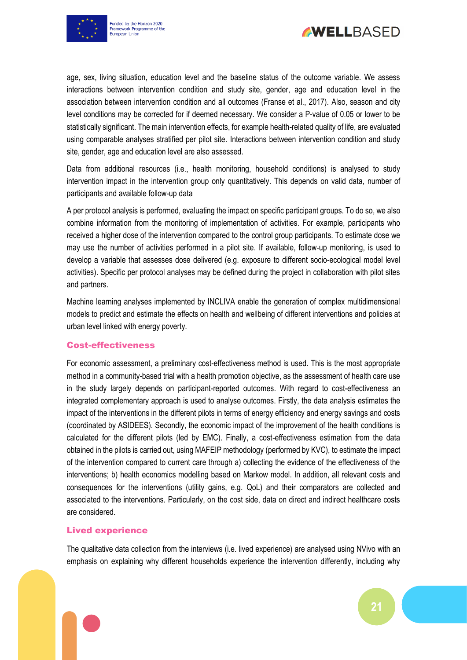



age, sex, living situation, education level and the baseline status of the outcome variable. We assess interactions between intervention condition and study site, gender, age and education level in the association between intervention condition and all outcomes (Franse et al., 2017). Also, season and city level conditions may be corrected for if deemed necessary. We consider a P-value of 0.05 or lower to be statistically significant. The main intervention effects, for example health-related quality of life, are evaluated using comparable analyses stratified per pilot site. Interactions between intervention condition and study site, gender, age and education level are also assessed.

Data from additional resources (i.e., health monitoring, household conditions) is analysed to study intervention impact in the intervention group only quantitatively. This depends on valid data, number of participants and available follow-up data

A per protocol analysis is performed, evaluating the impact on specific participant groups. To do so, we also combine information from the monitoring of implementation of activities. For example, participants who received a higher dose of the intervention compared to the control group participants. To estimate dose we may use the number of activities performed in a pilot site. If available, follow-up monitoring, is used to develop a variable that assesses dose delivered (e.g. exposure to different socio-ecological model level activities). Specific per protocol analyses may be defined during the project in collaboration with pilot sites and partners.

Machine learning analyses implemented by INCLIVA enable the generation of complex multidimensional models to predict and estimate the effects on health and wellbeing of different interventions and policies at urban level linked with energy poverty.

#### Cost-effectiveness

For economic assessment, a preliminary cost-effectiveness method is used. This is the most appropriate method in a community-based trial with a health promotion objective, as the assessment of health care use in the study largely depends on participant-reported outcomes. With regard to cost-effectiveness an integrated complementary approach is used to analyse outcomes. Firstly, the data analysis estimates the impact of the interventions in the different pilots in terms of energy efficiency and energy savings and costs (coordinated by ASIDEES). Secondly, the economic impact of the improvement of the health conditions is calculated for the different pilots (led by EMC). Finally, a cost-effectiveness estimation from the data obtained in the pilots is carried out, using MAFEIP methodology (performed by KVC), to estimate the impact of the intervention compared to current care through a) collecting the evidence of the effectiveness of the interventions; b) health economics modelling based on Markow model. In addition, all relevant costs and consequences for the interventions (utility gains, e.g. QoL) and their comparators are collected and associated to the interventions. Particularly, on the cost side, data on direct and indirect healthcare costs are considered.

#### Lived experience

The qualitative data collection from the interviews (i.e. lived experience) are analysed using NVivo with an emphasis on explaining why different households experience the intervention differently, including why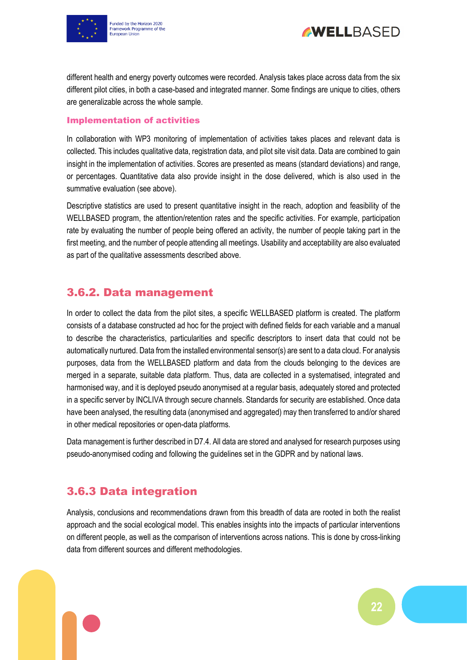



different health and energy poverty outcomes were recorded. Analysis takes place across data from the six different pilot cities, in both a case-based and integrated manner. Some findings are unique to cities, others are generalizable across the whole sample.

#### Implementation of activities

In collaboration with WP3 monitoring of implementation of activities takes places and relevant data is collected. This includes qualitative data, registration data, and pilot site visit data. Data are combined to gain insight in the implementation of activities. Scores are presented as means (standard deviations) and range, or percentages. Quantitative data also provide insight in the dose delivered, which is also used in the summative evaluation (see above).

Descriptive statistics are used to present quantitative insight in the reach, adoption and feasibility of the WELLBASED program, the attention/retention rates and the specific activities. For example, participation rate by evaluating the number of people being offered an activity, the number of people taking part in the first meeting, and the number of people attending all meetings. Usability and acceptability are also evaluated as part of the qualitative assessments described above.

#### <span id="page-21-0"></span>3.6.2. Data management

In order to collect the data from the pilot sites, a specific WELLBASED platform is created. The platform consists of a database constructed ad hoc for the project with defined fields for each variable and a manual to describe the characteristics, particularities and specific descriptors to insert data that could not be automatically nurtured. Data from the installed environmental sensor(s) are sent to a data cloud. For analysis purposes, data from the WELLBASED platform and data from the clouds belonging to the devices are merged in a separate, suitable data platform. Thus, data are collected in a systematised, integrated and harmonised way, and it is deployed pseudo anonymised at a regular basis, adequately stored and protected in a specific server by INCLIVA through secure channels. Standards for security are established. Once data have been analysed, the resulting data (anonymised and aggregated) may then transferred to and/or shared in other medical repositories or open-data platforms.

Data management is further described in D7.4. All data are stored and analysed for research purposes using pseudo-anonymised coding and following the guidelines set in the GDPR and by national laws.

### <span id="page-21-1"></span>3.6.3 Data integration

Analysis, conclusions and recommendations drawn from this breadth of data are rooted in both the realist approach and the social ecological model. This enables insights into the impacts of particular interventions on different people, as well as the comparison of interventions across nations. This is done by cross-linking data from different sources and different methodologies.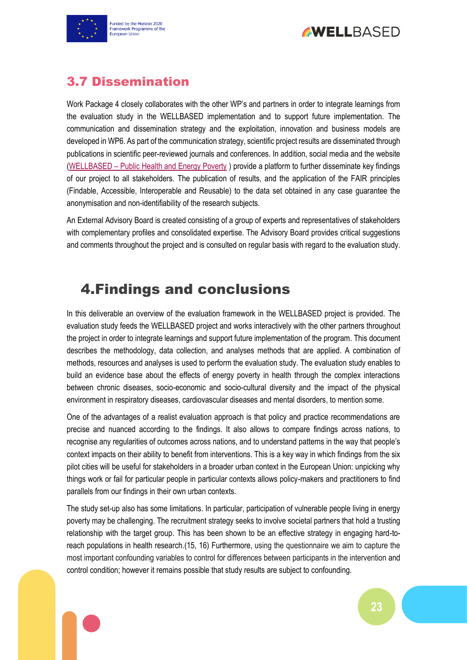



## <span id="page-22-0"></span>3.7 Dissemination

Work Package 4 closely collaborates with the other WP's and partners in order to integrate learnings from the evaluation study in the WELLBASED implementation and to support future implementation. The communication and dissemination strategy and the exploitation, innovation and business models are developed in WP6. As part of the communication strategy, scientific project results are disseminated through publications in scientific peer-reviewed journals and conferences. In addition, social media and the website (WELLBASED – [Public Health and Energy Poverty](https://wellbased.eu/) ) provide a platform to further disseminate key findings of our project to all stakeholders. The publication of results, and the application of the FAIR principles (Findable, Accessible, Interoperable and Reusable) to the data set obtained in any case guarantee the anonymisation and non-identifiability of the research subjects.

An External Advisory Board is created consisting of a group of experts and representatives of stakeholders with complementary profiles and consolidated expertise. The Advisory Board provides critical suggestions and comments throughout the project and is consulted on regular basis with regard to the evaluation study.

# <span id="page-22-1"></span>4.Findings and conclusions

In this deliverable an overview of the evaluation framework in the WELLBASED project is provided. The evaluation study feeds the WELLBASED project and works interactively with the other partners throughout the project in order to integrate learnings and support future implementation of the program. This document describes the methodology, data collection, and analyses methods that are applied. A combination of methods, resources and analyses is used to perform the evaluation study. The evaluation study enables to build an evidence base about the effects of energy poverty in health through the complex interactions between chronic diseases, socio-economic and socio-cultural diversity and the impact of the physical environment in respiratory diseases, cardiovascular diseases and mental disorders, to mention some.

One of the advantages of a realist evaluation approach is that policy and practice recommendations are precise and nuanced according to the findings. It also allows to compare findings across nations, to recognise any regularities of outcomes across nations, and to understand patterns in the way that people's context impacts on their ability to benefit from interventions. This is a key way in which findings from the six pilot cities will be useful for stakeholders in a broader urban context in the European Union: unpicking why things work or fail for particular people in particular contexts allows policy-makers and practitioners to find parallels from our findings in their own urban contexts.

The study set-up also has some limitations. In particular, participation of vulnerable people living in energy poverty may be challenging. The recruitment strategy seeks to involve societal partners that hold a trusting relationship with the target group. This has been shown to be an effective strategy in engaging hard-toreach populations in health research.(15, 16) Furthermore, using the questionnaire we aim to capture the most important confounding variables to control for differences between participants in the intervention and control condition; however it remains possible that study results are subject to confounding.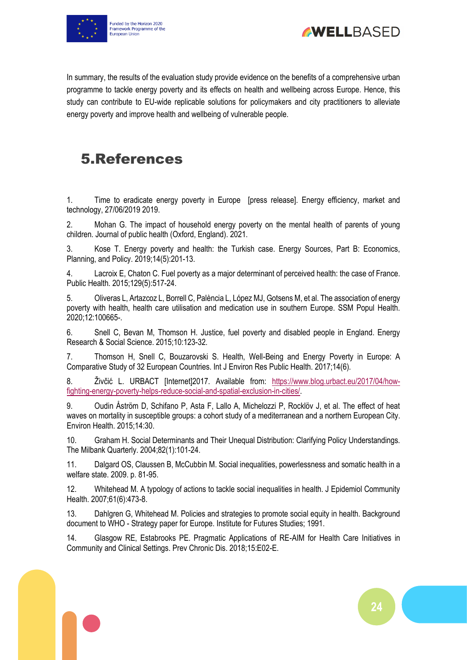



In summary, the results of the evaluation study provide evidence on the benefits of a comprehensive urban programme to tackle energy poverty and its effects on health and wellbeing across Europe. Hence, this study can contribute to EU-wide replicable solutions for policymakers and city practitioners to alleviate energy poverty and improve health and wellbeing of vulnerable people.

# <span id="page-23-0"></span>5.References

1. Time to eradicate energy poverty in Europe [press release]. Energy efficiency, market and technology, 27/06/2019 2019.

2. Mohan G. The impact of household energy poverty on the mental health of parents of young children. Journal of public health (Oxford, England). 2021.

3. Kose T. Energy poverty and health: the Turkish case. Energy Sources, Part B: Economics, Planning, and Policy. 2019;14(5):201-13.

4. Lacroix E, Chaton C. Fuel poverty as a major determinant of perceived health: the case of France. Public Health. 2015;129(5):517-24.

5. Oliveras L, Artazcoz L, Borrell C, Palència L, López MJ, Gotsens M, et al. The association of energy poverty with health, health care utilisation and medication use in southern Europe. SSM Popul Health. 2020;12:100665-.

6. Snell C, Bevan M, Thomson H. Justice, fuel poverty and disabled people in England. Energy Research & Social Science. 2015;10:123-32.

7. Thomson H, Snell C, Bouzarovski S. Health, Well-Being and Energy Poverty in Europe: A Comparative Study of 32 European Countries. Int J Environ Res Public Health. 2017;14(6).

8. Živčić L. URBACT [Internet]2017. Available from: [https://www.blog.urbact.eu/2017/04/how](https://www.blog.urbact.eu/2017/04/how-fighting-energy-poverty-helps-reduce-social-and-spatial-exclusion-in-cities/)[fighting-energy-poverty-helps-reduce-social-and-spatial-exclusion-in-cities/.](https://www.blog.urbact.eu/2017/04/how-fighting-energy-poverty-helps-reduce-social-and-spatial-exclusion-in-cities/)

9. Oudin Åström D, Schifano P, Asta F, Lallo A, Michelozzi P, Rocklöv J, et al. The effect of heat waves on mortality in susceptible groups: a cohort study of a mediterranean and a northern European City. Environ Health. 2015;14:30.

10. Graham H. Social Determinants and Their Unequal Distribution: Clarifying Policy Understandings. The Milbank Quarterly. 2004;82(1):101-24.

11. Dalgard OS, Claussen B, McCubbin M. Social inequalities, powerlessness and somatic health in a welfare state. 2009. p. 81-95.

12. Whitehead M. A typology of actions to tackle social inequalities in health. J Epidemiol Community Health. 2007;61(6):473-8.

13. Dahlgren G, Whitehead M. Policies and strategies to promote social equity in health. Background document to WHO - Strategy paper for Europe. Institute for Futures Studies; 1991.

14. Glasgow RE, Estabrooks PE. Pragmatic Applications of RE-AIM for Health Care Initiatives in Community and Clinical Settings. Prev Chronic Dis. 2018;15:E02-E.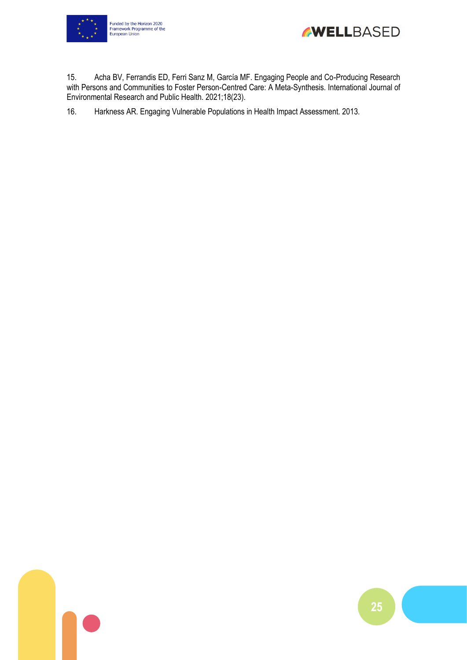



15. Acha BV, Ferrandis ED, Ferri Sanz M, García MF. Engaging People and Co-Producing Research with Persons and Communities to Foster Person-Centred Care: A Meta-Synthesis. International Journal of Environmental Research and Public Health. 2021;18(23).

16. Harkness AR. Engaging Vulnerable Populations in Health Impact Assessment. 2013.